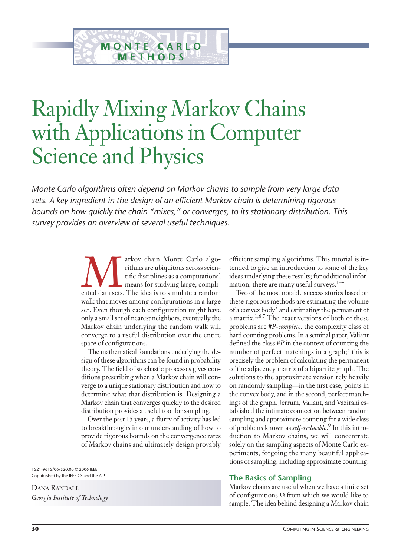# Rapidly Mixing Markov Chains with Applications in Computer Science and Physics

**M ONTE C ARLO METHODS** 

*Monte Carlo algorithms often depend on Markov chains to sample from very large data sets. A key ingredient in the design of an efficient Markov chain is determining rigorous bounds on how quickly the chain "mixes," or converges, to its stationary distribution. This survey provides an overview of several useful techniques.* 

> arkov chain Monte Carlo algo-<br>
> rithms are ubiquitous across scien-<br>
> tific disciplines as a computational<br>
> means for studying large, compli-<br>
> cated data sets. The idea is to simulate a random rithms are ubiquitous across scientific disciplines as a computational means for studying large, compliwalk that moves among configurations in a large set. Even though each configuration might have only a small set of nearest neighbors, eventually the Markov chain underlying the random walk will converge to a useful distribution over the entire space of configurations.

> The mathematical foundations underlying the design of these algorithms can be found in probability theory. The field of stochastic processes gives conditions prescribing when a Markov chain will converge to a unique stationary distribution and how to determine what that distribution is. Designing a Markov chain that converges quickly to the desired distribution provides a useful tool for sampling.

> Over the past 15 years, a flurry of activity has led to breakthroughs in our understanding of how to provide rigorous bounds on the convergence rates of Markov chains and ultimately design provably

1521-9615/06/\$20.00 © 2006 IEEE Copublished by the IEEE CS and the AIP

DANA RANDALL *Georgia Institute of Technology* efficient sampling algorithms. This tutorial is intended to give an introduction to some of the key ideas underlying these results; for additional information, there are many useful surveys.<sup>1-4</sup>

Two of the most notable success stories based on these rigorous methods are estimating the volume of a convex body<sup>5</sup> and estimating the permanent of a matrix.1,6,7 The exact versions of both of these problems are #*P*-*complete*, the complexity class of hard counting problems. In a seminal paper, Valiant defined the class #*P* in the context of counting the number of perfect matchings in a graph; $\delta$  this is precisely the problem of calculating the permanent of the adjacency matrix of a bipartite graph. The solutions to the approximate version rely heavily on randomly sampling—in the first case, points in the convex body, and in the second, perfect matchings of the graph. Jerrum, Valiant, and Vazirani established the intimate connection between random sampling and approximate counting for a wide class of problems known as *self-reducible*. <sup>9</sup> In this introduction to Markov chains, we will concentrate solely on the sampling aspects of Monte Carlo experiments, forgoing the many beautiful applications of sampling, including approximate counting.

## **The Basics of Sampling**

Markov chains are useful when we have a finite set of configurations  $\Omega$  from which we would like to sample. The idea behind designing a Markov chain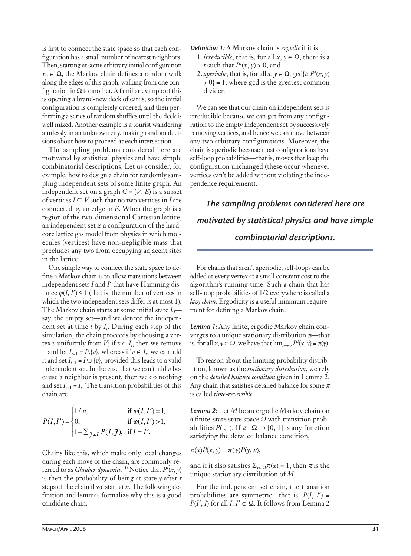is first to connect the state space so that each configuration has a small number of nearest neighbors. Then, starting at some arbitrary initial configuration  $x_0 \in \Omega$ , the Markov chain defines a random walk along the edges of this graph, walking from one configuration in  $\Omega$  to another. A familiar example of this is opening a brand-new deck of cards, so the initial configuration is completely ordered, and then performing a series of random shuffles until the deck is well mixed. Another example is a tourist wandering aimlessly in an unknown city, making random decisions about how to proceed at each intersection.

The sampling problems considered here are motivated by statistical physics and have simple combinatorial descriptions. Let us consider, for example, how to design a chain for randomly sampling independent sets of some finite graph. An independent set on a graph  $G = (V, E)$  is a subset of vertices  $I \subseteq V$  such that no two vertices in *I* are connected by an edge in *E*. When the graph is a region of the two-dimensional Cartesian lattice, an independent set is a configuration of the hardcore lattice gas model from physics in which molecules (vertices) have non-negligible mass that precludes any two from occupying adjacent sites in the lattice.

One simple way to connect the state space to define a Markov chain is to allow transitions between independent sets *I* and *I'* that have Hamming distance  $\varphi(I, I') \leq 1$  (that is, the number of vertices in which the two independent sets differ is at most 1). The Markov chain starts at some initial state  $I_0$  say, the empty set—and we denote the independent set at time  $t$  by  $I_t$ . During each step of the simulation, the chain proceeds by choosing a vertex *v* uniformly from  $\overline{V}$ ; if  $v \in I_t$ , then we remove it and let  $I_{t+1} = \Lambda \{v\}$ , whereas if  $v \notin I_t$ , we can add it and set  $I_{t+1} = I \cup \{v\}$ , provided this leads to a valid independent set. In the case that we can't add *v* because a neighbor is present, then we do nothing and set  $I_{t+1} = I_t$ . The transition probabilities of this chain are

$$
P(I, I') = \begin{cases} 1/n, & \text{if } \varphi(I, I') = 1, \\ 0, & \text{if } \varphi(I, I') > 1, \\ 1 - \sum_{\mathcal{J} \neq I} P(I, \mathcal{J}), & \text{if } I = I'. \end{cases}
$$

Chains like this, which make only local changes during each move of the chain, are commonly referred to as *Glauber dynamics*. <sup>10</sup> Notice that *P<sup>t</sup>* (*x*, *y*) is then the probability of being at state *y* after *t* steps of the chain if we start at *x*. The following definition and lemmas formalize why this is a good candidate chain.

*Definition 1:* A Markov chain is *ergodic* if it is

- 1. *irreducible*, that is, for all  $x, y \in \Omega$ , there is a *t* such that  $P^t(x, y) > 0$ , and
- 2. *aperiodic*, that is, for all  $x, y \in \Omega$ ,  $gcd\{t: P^t(x, y)\}$  $> 0$ } = 1, where gcd is the greatest common divider.

We can see that our chain on independent sets is irreducible because we can get from any configuration to the empty independent set by successively removing vertices, and hence we can move between any two arbitrary configurations. Moreover, the chain is aperiodic because most configurations have self-loop probabilities—that is, moves that keep the configuration unchanged (these occur whenever vertices can't be added without violating the independence requirement).

*The sampling problems considered here are motivated by statistical physics and have simple combinatorial descriptions.*

For chains that aren't aperiodic, self-loops can be added at every vertex at a small constant cost to the algorithm's running time. Such a chain that has self-loop probabilities of 1/2 everywhere is called a *lazy chain*. Ergodicity is a useful minimum requirement for defining a Markov chain.

*Lemma 1:* Any finite, ergodic Markov chain converges to a unique stationary distribution  $\pi$ —that is, for all  $x, y \in \Omega$ , we have that  $\lim_{t \to \infty} P^t(x, y) = \pi(y)$ .

To reason about the limiting probability distribution, known as the *stationary distribution*, we rely on the *detailed balance condition* given in Lemma 2. Any chain that satisfies detailed balance for some  $\pi$ is called *time-reversible*.

*Lemma 2:* Let *M* be an ergodic Markov chain on a finite-state state space  $\Omega$  with transition probabilities  $P(\cdot, \cdot)$ . If  $\pi : \Omega \to [0, 1]$  is any function satisfying the detailed balance condition,

 $\pi(x)P(x, y) = \pi(y)P(y, x),$ 

and if it also satisfies  $\Sigma_{x \in \Omega} \pi(x) = 1$ , then  $\pi$  is the unique stationary distribution of *M*.

For the independent set chain, the transition probabilities are symmetric—that is,  $P(I, I') =$  $P(I', I)$  for all *I*,  $I' \in \Omega$ . It follows from Lemma 2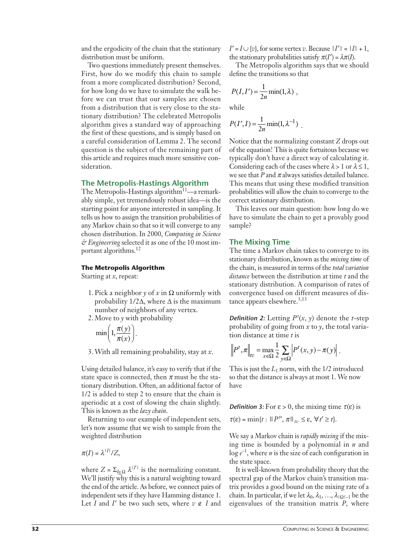and the ergodicity of the chain that the stationary distribution must be uniform.

Two questions immediately present themselves. First, how do we modify this chain to sample from a more complicated distribution? Second, for how long do we have to simulate the walk before we can trust that our samples are chosen from a distribution that is very close to the stationary distribution? The celebrated Metropolis algorithm gives a standard way of approaching the first of these questions, and is simply based on a careful consideration of Lemma 2. The second question is the subject of the remaining part of this article and requires much more sensitive consideration.

# **The Metropolis-Hastings Algorithm**

The Metropolis-Hastings algorithm $11$ —a remarkably simple, yet tremendously robust idea—is the starting point for anyone interested in sampling. It tells us how to assign the transition probabilities of any Markov chain so that so it will converge to any chosen distribution. In 2000, *Computing in Science & Engineering* selected it as one of the 10 most important algorithms.<sup>12</sup>

## **The Metropolis Algorithm**

Starting at *x*, repeat:

- 1. Pick a neighbor *y* of *x* in  $\Omega$  uniformly with probability  $1/2\Delta$ , where  $\Delta$  is the maximum number of neighbors of any vertex.
- 2.Move to *y* with probability

.

$$
\min\left(1,\frac{\pi(y)}{\pi(x)}\right)
$$

3.With all remaining probability, stay at *x*.

Using detailed balance, it's easy to verify that if the state space is connected, then  $\pi$  must be the stationary distribution. Often, an additional factor of 1/2 is added to step 2 to ensure that the chain is aperiodic at a cost of slowing the chain slightly. This is known as the *lazy chain*.

Returning to our example of independent sets, let's now assume that we wish to sample from the weighted distribution

 $\pi(I) = \lambda^{|I|}/Z$ ,

where  $Z = \sum_{l \in \Omega} \lambda^{|I'|}$  is the normalizing constant. We'll justify why this is a natural weighting toward the end of the article. As before, we connect pairs of independent sets if they have Hamming distance 1. Let *I* and *I'* be two such sets, where  $v \notin I$  and  $I' = I \cup \{v\}$ , for some vertex *v*. Because  $|I'| = |I| + 1$ , the stationary probabilities satisfy  $\pi(I') = \lambda \pi(I)$ .

The Metropolis algorithm says that we should define the transitions so that

$$
P(I, I') = \frac{1}{2n} \min(1, \lambda) ,
$$

while

$$
P(I', I) = \frac{1}{2n} \min(1, \lambda^{-1})
$$
.

Notice that the normalizing constant *Z* drops out of the equation! This is quite fortuitous because we typically don't have a direct way of calculating it. Considering each of the cases where  $\lambda > 1$  or  $\lambda \leq 1$ , we see that *P* and  $\pi$  always satisfies detailed balance. This means that using these modified transition probabilities will allow the chain to converge to the correct stationary distribution.

This leaves our main question: how long do we have to simulate the chain to get a provably good sample?

## **The Mixing Time**

The time a Markov chain takes to converge to its stationary distribution, known as the *mixing time* of the chain, is measured in terms of the *total variation distance* between the distribution at time *t* and the stationary distribution. A comparison of rates of convergence based on different measures of distance appears elsewhere.<sup>3,13</sup>

*Definition 2:* Letting  $P^t(x, y)$  denote the *t*-step probability of going from *x* to *y*, the total variation distance at time *t* is

$$
\left\|P^t, \pi\right\|_{tv} = \max_{x \in \Omega} \frac{1}{2} \sum_{y \in \Omega} \left|P^t(x, y) - \pi(y)\right|.
$$

This is just the  $L_1$  norm, with the  $1/2$  introduced so that the distance is always at most 1. We now have

**Definition 3:** For  $\varepsilon > 0$ , the mixing time  $\tau(\varepsilon)$  is

$$
\tau(\varepsilon)=\min\{t:\,||\,P^{\prime\prime},\,\pi\,||_{_{\,tv}}\leq\varepsilon,\,\forall\,t'\geq t\}.
$$

We say a Markov chain is *rapidly mixing* if the mixing time is bounded by a polynomial in *n* and  $\log e^{-1}$ , where *n* is the size of each configuration in the state space.

It is well-known from probability theory that the spectral gap of the Markov chain's transition matrix provides a good bound on the mixing rate of a chain. In particular, if we let  $\lambda_0, \lambda_1, ..., \lambda_{|\Omega|-1}$  be the eigenvalues of the transition matrix *P*, where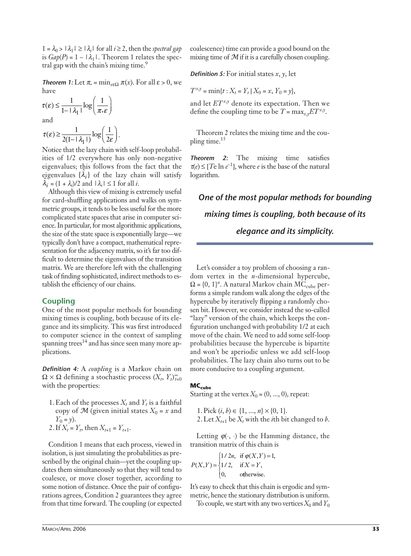$1 = \lambda_0 > |\lambda_1| \geq |\lambda_i|$  for all  $i \geq 2$ , then the *spectral gap* is  $Gap(P) = 1 - |\lambda_1|$ . Theorem 1 relates the spectral gap with the chain's mixing time.<sup>9</sup>

**Theorem 1:** Let  $\pi_* = \min_{x \in \Omega} \pi(x)$ . For all  $\varepsilon > 0$ , we have

$$
\tau(\varepsilon) \le \frac{1}{1 - |\lambda_1|} \log \left( \frac{1}{\pi \varepsilon} \right)
$$
  
and  

$$
\tau(\varepsilon) > \frac{1}{\pi} \log \left( \frac{1}{\pi \varepsilon} \right)
$$

 $\tau(\varepsilon) \geq \frac{1}{2(1-\lambda_1 t)} \log \left( \frac{1}{2\varepsilon} \right).$  $\frac{1}{2(1-\vert\lambda_1\vert)}\log\left(\frac{1}{2\varepsilon}\right)$  $_1$ |)  $_2$  (2

Notice that the lazy chain with self-loop probabilities of 1/2 everywhere has only non-negative eigenvalues; this follows from the fact that the eigenvalues  $\{\hat{\lambda}_i\}$  of the lazy chain will satisfy  $\hat{\lambda}_i = (1 + \lambda_i)/2$  and  $|\lambda_i| \le 1$  for all *i*.

Although this view of mixing is extremely useful for card-shuffling applications and walks on symmetric groups, it tends to be less useful for the more complicated state spaces that arise in computer science. In particular, for most algorithmic applications, the size of the state space is exponentially large—we typically don't have a compact, mathematical representation for the adjacency matrix, so it's far too difficult to determine the eigenvalues of the transition matrix. We are therefore left with the challenging task of finding sophisticated, indirect methods to establish the efficiency of our chains.

## **Coupling**

One of the most popular methods for bounding mixing times is coupling, both because of its elegance and its simplicity. This was first introduced to computer science in the context of sampling spanning trees<sup>14</sup> and has since seen many more applications.

*Definition 4:* A *coupling* is a Markov chain on  $\Omega \times \Omega$  defining a stochastic process  $(X_t, Y_t)_{t=0}^{\infty}$ with the properties:

1. Each of the processes  $X_t$  and  $Y_t$  is a faithful copy of  $\mathcal{M}$  (given initial states  $X_0 = x$  and  $Y_0 = y$ ). 2. If  $X_t = Y_t$ , then  $X_{t+1} = Y_{t+1}$ .

Condition 1 means that each process, viewed in isolation, is just simulating the probabilities as prescribed by the original chain—yet the coupling updates them simultaneously so that they will tend to coalesce, or move closer together, according to some notion of distance. Once the pair of configurations agrees, Condition 2 guarantees they agree from that time forward. The coupling (or expected

coalescence) time can provide a good bound on the mixing time of  $M$  if it is a carefully chosen coupling.

*Definition 5:* For initial states *x*, *y*, let

 $T^{x,y} = \min\{t : X_t = Y_t | X_0 = x, Y_0 = y\},\$ 

and let  $ET^{x,y}$  denote its expectation. Then we define the coupling time to be  $T = \max_{x,y} ET^{x,y}$ .

Theorem 2 relates the mixing time and the coupling time. $15$ 

*Theorem 2:* The mixing time satisfies  $\tau(e) \leq [Te \ln e^{-1}]$ , where *e* is the base of the natural logarithm.

*One of the most popular methods for bounding mixing times is coupling, both because of its elegance and its simplicity.*

Let's consider a toy problem of choosing a random vertex in the *n*-dimensional hypercube,  $\Omega = \{0, 1\}^n$ . A natural Markov chain MC<sub>cube</sub> performs a simple random walk along the edges of the hypercube by iteratively flipping a randomly chosen bit. However, we consider instead the so-called "lazy" version of the chain, which keeps the configuration unchanged with probability 1/2 at each move of the chain. We need to add some self-loop probabilities because the hypercube is bipartite and won't be aperiodic unless we add self-loop probabilities. The lazy chain also turns out to be more conducive to a coupling argument.

## MC<sub>cube</sub>

Starting at the vertex  $X_0 = (0, ..., 0)$ , repeat:

 $1. Pick (i, b) \in \{1, ..., n\} \times \{0, 1\}.$ 2. Let  $X_{t+1}$  be  $X_t$  with the *i*th bit changed to *b*.

Letting  $\varphi(\cdot, \cdot)$  be the Hamming distance, the transition matrix of this chain is

 $P(X, Y)$ *n*, if  $\varphi(X, Y)$  $(X, Y) = \{1/2, \text{ if } X = Y\}$  $/ 2n,$ / 2, ,  $(X,Y)=1,$  $=\{1/2, \text{ if } X=Y,$  $\int$ ⎨ ⎪  $\overline{\mathcal{L}}$ = =  $1/2$  $1/2$ 0 if  $\varphi(X,Y) = 1$ if o ϕ therwise.

It's easy to check that this chain is ergodic and symmetric, hence the stationary distribution is uniform.

To couple, we start with any two vertices  $X_0$  and  $Y_0$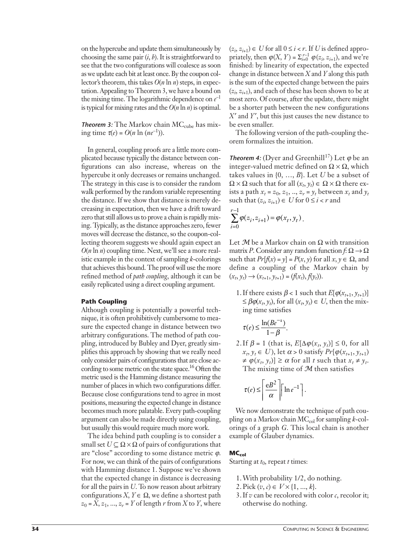on the hypercube and update them simultaneously by choosing the same pair (*i*, *b*). It is straightforward to see that the two configurations will coalesce as soon as we update each bit at least once. By the coupon collector's theorem, this takes *O*(*n* ln *n*) steps, in expectation. Appealing to Theorem 3, we have a bound on the mixing time. The logarithmic dependence on  $e^{-1}$ is typical for mixing rates and the *O*(*n* ln *n*) is optimal.

**Theorem 3:** The Markov chain  $MC_{cube}$  has mixing time  $\tau(e) = O(n \ln (ne^{-1}))$ .

In general, coupling proofs are a little more complicated because typically the distance between configurations can also increase, whereas on the hypercube it only decreases or remains unchanged. The strategy in this case is to consider the random walk performed by the random variable representing the distance. If we show that distance is merely decreasing in expectation, then we have a drift toward zero that still allows us to prove a chain is rapidly mixing. Typically, as the distance approaches zero, fewer moves will decrease the distance, so the coupon-collecting theorem suggests we should again expect an  $O(n \ln n)$  coupling time. Next, we'll see a more realistic example in the context of sampling *k*-colorings that achieves this bound. The proof will use the more refined method of *path coupling*, although it can be easily replicated using a direct coupling argument.

## **Path Coupling**

Although coupling is potentially a powerful technique, it is often prohibitively cumbersome to measure the expected change in distance between two arbitrary configurations. The method of path coupling, introduced by Bubley and Dyer, greatly simplifies this approach by showing that we really need only consider pairs of configurations that are close according to some metric on the state space.<sup>16</sup> Often the metric used is the Hamming distance measuring the number of places in which two configurations differ. Because close configurations tend to agree in most positions, measuring the expected change in distance becomes much more palatable. Every path-coupling argument can also be made directly using coupling, but usually this would require much more work.

The idea behind path coupling is to consider a small set  $U \subseteq \Omega \times \Omega$  of pairs of configurations that are "close" according to some distance metric  $\varphi$ . For now, we can think of the pairs of configurations with Hamming distance 1. Suppose we've shown that the expected change in distance is decreasing for all the pairs in *U*. To now reason about arbitrary configurations  $X, Y \in \Omega$ , we define a shortest path  $z_0 = X$ ,  $z_1$ , ...,  $z_r = Y$  of length *r* from *X* to *Y*, where

 $(z_i, z_{i+1}) \in U$  for all  $0 \le i < r$ . If *U* is defined appropriately, then  $\varphi(X, Y) = \sum_{i=0}^{r-1} \varphi(z_i, z_{i+1})$ , and we're finished: by linearity of expectation, the expected change in distance between *X* and *Y* along this path is the sum of the expected change between the pairs  $(z_i, z_{i+1})$ , and each of these has been shown to be at most zero. Of course, after the update, there might be a shorter path between the new configurations *X* and *Y*, but this just causes the new distance to be even smaller.

The following version of the path-coupling theorem formalizes the intuition.

**Theorem 4:** (Dyer and Greenhill<sup>17</sup>) Let  $\varphi$  be an integer-valued metric defined on  $\Omega \times \Omega$ , which takes values in {0, …, *B*}. Let *U* be a subset of  $\Omega \times \Omega$  such that for all  $(x_t, y_t) \in \Omega \times \Omega$  there exists a path  $x_t = z_0$ ,  $z_1$ , ..,  $z_r = y_t$  between  $x_t$  and  $y_t$ such that  $(z_i, z_{i+1}) \in U$  for  $0 \le i < r$  and

$$
\sum_{i=0}^{r-1} \varphi(z_i, z_{i+1}) = \varphi(x_t, y_t).
$$

Let  $M$  be a Markov chain on  $\Omega$  with transition matrix *P*. Consider any random function  $f: \Omega \to \Omega$ such that  $Pr[f(x) = y] = P(x, y)$  for all  $x, y \in \Omega$ , and define a coupling of the Markov chain by  $(x_t, y_t) \rightarrow (x_{t+1}, y_{t+1}) = (f(x_t), f(y_t)).$ 

1. If there exists  $\beta$  < 1 such that  $E[\varphi(x_{t+1}, y_{t+1})]$  $\leq \beta \varphi(x_t, y_t)$ , for all  $(x_t, y_t) \in U$ , then the mixing time satisfies

$$
\tau(e) \le \frac{\ln(Be^{-1})}{1-\beta}.
$$

2. If  $\beta = 1$  (that is,  $E[\Delta \varphi(x_t, y_t)] \leq 0$ , for all  $x_t, y_t \in U$ ), let  $\alpha > 0$  satisfy  $Pr[\varphi(x_{t+1}, y_{t+1})]$  $\neq \varphi(x_t, y_t) \geq \alpha$  for all *t* such that  $x_t \neq y_t$ . The mixing time of  $M$  then satisfies

$$
\tau(e) \le \left\lceil \frac{eB^2}{\alpha} \right\rceil \left\lceil \ln e^{-1} \right\rceil.
$$

We now demonstrate the technique of path coupling on a Markov chain MC<sub>col</sub> for sampling *k*-colorings of a graph *G*. This local chain is another example of Glauber dynamics.

#### **MC<sub>col</sub>**

Starting at  $t_0$ , repeat *t* times:

- 1.With probability 1/2, do nothing.
- 2. Pick  $(v, c) \in V \times \{1, ..., k\}.$
- 3. If  $v$  can be recolored with color  $c$ , recolor it; otherwise do nothing.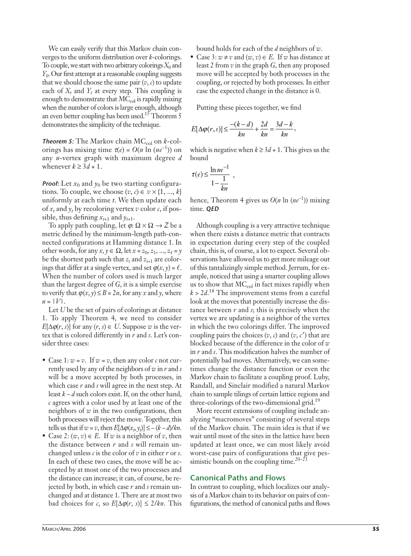We can easily verify that this Markov chain converges to the uniform distribution over *k*-colorings. To couple, we start with two arbitrary colorings  $X_0$  and *Y*<sub>0</sub>. Our first attempt at a reasonable coupling suggests that we should choose the same pair  $(v, c)$  to update each of  $X_t$  and  $Y_t$  at every step. This coupling is enough to demonstrate that  $MC_{col}$  is rapidly mixing when the number of colors is large enough, although an even better coupling has been used.<sup>15</sup> Theorem 5 demonstrates the simplicity of the technique.

*Theorem 5:* The Markov chain  $MC_{col}$  on  $k$ -colorings has mixing time  $\tau(e) = O(n \ln (ne^{-1}))$  on any *n*-vertex graph with maximum degree *d* whenever  $k \geq 3d + 1$ .

*Proof:* Let  $x_0$  and  $y_0$  be two starting configurations. To couple, we choose  $(v, c) \in v \times \{1, ..., k\}$ uniformly at each time *t*. We then update each of  $x_t$  and  $y_t$  by recoloring vertex *v* color *c*, if possible, thus defining  $x_{t+1}$  and  $y_{t+1}$ .

To apply path coupling, let  $\varphi$ :  $\Omega \times \Omega \rightarrow Z$  be a metric defined by the minimum-length path-connected configurations at Hamming distance 1. In other words, for any  $x, y \in \Omega$ , let  $x = z_0, z_1, ..., z_\ell = y$ be the shortest path such that  $z_i$  and  $z_{i+1}$  are colorings that differ at a single vertex, and set  $\varphi(x, y) = \ell$ . When the number of colors used is much larger than the largest degree of *G*, it is a simple exercise to verify that  $\varphi(x, y) \le B = 2n$ , for any *x* and *y*, where  $n = |V|$ .

Let *U* be the set of pairs of colorings at distance 1. To apply Theorem 4, we need to consider  $E[\Delta \varphi(r, s)]$  for any  $(r, s) \in U$ . Suppose *w* is the vertex that is colored differently in *r* and *s*. Let's consider three cases:

- Case 1:  $w = v$ . If  $w = v$ , then any color  $c$  not currently used by any of the neighbors of *w* in *r* and *s* will be a move accepted by both processes, in which case *r* and *s* will agree in the next step. At least  $k - d$  such colors exist. If, on the other hand, *c* agrees with a color used by at least one of the neighbors of *w* in the two configurations, then both processes will reject the move. Together, this tells us that if  $w = v$ , then  $E[\Delta \varphi(x_t, y_t)] \leq -(k-d)/kn$ .
- Case 2:  $(w, v) \in E$ . If *w* is a neighbor of *v*, then the distance between *r* and *s* will remain unchanged unless *c* is the color of *v* in either *r* or *s*. In each of these two cases, the move will be accepted by at most one of the two processes and the distance can increase; it can, of course, be rejected by both, in which case *r* and *s* remain unchanged and at distance 1. There are at most two bad choices for *c*, so  $E[\Delta \varphi(r, s)] \leq 2/kn$ . This

bound holds for each of the *d* neighbors of *w*.

• Case 3:  $w \neq v$  and  $(w, v) \in E$ . If w has distance at least 2 from *v* in the graph *G*, then any proposed move will be accepted by both processes in the coupling, or rejected by both processes. In either case the expected change in the distance is 0.

Putting these pieces together, we find

$$
E[\Delta \varphi(r,s)] \le \frac{-(k-d)}{kn} + \frac{2d}{kn} = \frac{3d-k}{kn},
$$

which is negative when  $k \geq 3d + 1$ . This gives us the bound

$$
\tau(e) \le \frac{\ln ne^{-1}}{1 - \frac{1}{kn}} ,
$$

hence, Theorem 4 gives us  $O(n \ln (ne^{-1}))$  mixing time. *QED*

Although coupling is a very attractive technique when there exists a distance metric that contracts in expectation during every step of the coupled chain, this is, of course, a lot to expect. Several observations have allowed us to get more mileage out of this tantalizingly simple method. Jerrum, for example, noticed that using a smarter coupling allows us to show that  $MC_{col}$  in fact mixes rapidly when  $k > 2d$ <sup>18</sup> The improvement stems from a careful look at the moves that potentially increase the distance between *r* and *s*; this is precisely when the vertex we are updating is a neighbor of the vertex in which the two colorings differ. The improved coupling pairs the choices  $(v, c)$  and  $(v, c')$  that are blocked because of the difference in the color of *w* in *r* and *s*. This modification halves the number of potentially bad moves. Alternatively, we can sometimes change the distance function or even the Markov chain to facilitate a coupling proof. Luby, Randall, and Sinclair modified a natural Markov chain to sample tilings of certain lattice regions and three-colorings of the two-dimensional grid.<sup>19</sup>

More recent extensions of coupling include analyzing "macromoves" consisting of several steps of the Markov chain. The main idea is that if we wait until most of the sites in the lattice have been updated at least once, we can most likely avoid worst-case pairs of configurations that give pessimistic bounds on the coupling time.<sup>20–23</sup>

## **Canonical Paths and Flows**

In contrast to coupling, which localizes our analysis of a Markov chain to its behavior on pairs of configurations, the method of canonical paths and flows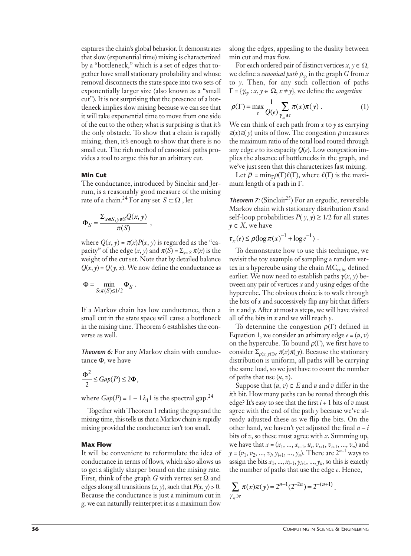captures the chain's global behavior. It demonstrates that slow (exponential time) mixing is characterized by a "bottleneck," which is a set of edges that together have small stationary probability and whose removal disconnects the state space into two sets of exponentially larger size (also known as a "small cut"). It is not surprising that the presence of a bottleneck implies slow mixing because we can see that it will take exponential time to move from one side of the cut to the other; what is surprising is that it's the only obstacle. To show that a chain is rapidly mixing, then, it's enough to show that there is no small cut. The rich method of canonical paths provides a tool to argue this for an arbitrary cut.

## **Min Cut**

The conductance, introduced by Sinclair and Jerrum, is a reasonably good measure of the mixing rate of a chain.<sup>24</sup> For any set  $S \subset \Omega$ , let

$$
\Phi_S = \frac{\Sigma_{x \in S, y \notin S} Q(x, y)}{\pi(S)}
$$

where  $Q(x, y) = \pi(x)P(x, y)$  is regarded as the "capacity" of the edge  $(x, y)$  and  $\pi(S) = \sum_{x \in S} \pi(x)$  is the weight of the cut set. Note that by detailed balance  $Q(x, y) = Q(y, x)$ . We now define the conductance as

,

$$
\Phi = \min_{S: \pi(S) \leq 1/2} \Phi_S.
$$

If a Markov chain has low conductance, then a small cut in the state space will cause a bottleneck in the mixing time. Theorem 6 establishes the converse as well.

*Theorem 6:* For any Markov chain with conductance  $\Phi$ , we have

$$
\frac{\Phi^2}{2} \leq Gap(P)\leq 2\Phi,
$$

where  $Gap(P) = 1 - |\lambda_1|$  is the spectral gap.<sup>24</sup>

Together with Theorem 1 relating the gap and the mixing time, this tells us that a Markov chain is rapidly mixing provided the conductance isn't too small.

#### **Max Flow**

It will be convenient to reformulate the idea of conductance in terms of flows, which also allows us to get a slightly sharper bound on the mixing rate. First, think of the graph  $G$  with vertex set  $\Omega$  and edges along all transitions  $(x, y)$ , such that  $P(x, y) > 0$ . Because the conductance is just a minimum cut in *g*, we can naturally reinterpret it as a maximum flow

along the edges, appealing to the duality between min cut and max flow.

For each ordered pair of distinct vertices  $x, y \in \Omega$ , we define a *canonical path*  $\rho_{xy}$  in the graph *G* from *x* to *y*. Then, for any such collection of paths  $\Gamma = {\gamma_{xy} : x, y \in \Omega, x \neq y},$  we define the *congestion* 

$$
\rho(\Gamma) = \max_{e} \frac{1}{Q(e)} \sum_{\gamma_{\mathbf{y}} \ni e} \pi(x)\pi(y) \,. \tag{1}
$$

We can think of each path from *x* to *y* as carrying  $\pi(x)\pi(y)$  units of flow. The congestion  $\rho$  measures the maximum ratio of the total load routed through any edge *e* to its capacity *Q*(*e*). Low congestion implies the absence of bottlenecks in the graph, and we've just seen that this characterizes fast mixing.

Let  $\overline{\rho} = \min_{\Gamma} \rho(\Gamma) \ell(\Gamma)$ , where  $\ell(\Gamma)$  is the maximum length of a path in  $\Gamma$ .

**Theorem 7:** (Sinclair<sup>25</sup>) For an ergodic, reversible Markov chain with stationary distribution  $\pi$  and self-loop probabilities  $P(y, y) \ge 1/2$  for all states  $y \in X$ , we have

 $\tau_x(e) \le \bar{\rho} (\log \pi(x)^{-1} + \log e^{-1})$ .

To demonstrate how to use this technique, we revisit the toy example of sampling a random vertex in a hypercube using the chain  $MC_{cube}$  defined earlier. We now need to establish paths  $\gamma(x, y)$  between any pair of vertices *x* and *y* using edges of the hypercube. The obvious choice is to walk through the bits of *x* and successively flip any bit that differs in *x* and *y*. After at most *n* steps, we will have visited all of the bits in *x* and we will reach *y*.

To determine the congestion  $\rho(\Gamma)$  defined in Equation 1, we consider an arbitrary edge  $e = (u, v)$ on the hypercube. To bound  $\rho(\Gamma)$ , we first have to consider  $\sum_{\rho(x, y) \ni e} \pi(x) \pi(y)$ . Because the stationary distribution is uniform, all paths will be carrying the same load, so we just have to count the number of paths that use (*u*, *v*).

Suppose that  $(u, v) \in E$  and  $u$  and  $v$  differ in the *i*th bit. How many paths can be routed through this edge? It's easy to see that the first  $i + 1$  bits of  $v$  must agree with the end of the path *y* because we've already adjusted these as we flip the bits. On the other hand, we haven't yet adjusted the final  $n - i$ bits of *v*, so these must agree with *x*. Summing up, we have that *x* = (*x*1, ..., *xi*–1, *ui* , *vi*+1, *vi*+1, ..., *vn*) and  $y = (v_1, v_2, ..., v_i, y_{i+1}, ..., y_n)$ . There are  $2^{n-1}$  ways to assign the bits  $x_1$ , ...,  $x_{i-1}$ ,  $y_{i+1}$ , ...,  $y_n$ , so this is exactly the number of paths that use the edge *e*. Hence,

$$
\sum_{\gamma_{xy} \ni e} \pi(x)\pi(y) = 2^{n-1}(2^{-2n}) = 2^{-(n+1)}.
$$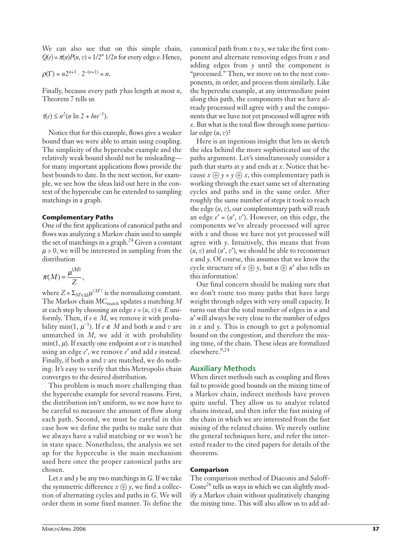We can also see that on this simple chain,  $Q(e) = \pi(u)P(u, v) = 1/2^n 1/2n$  for every edge *e*. Hence,

$$
\rho(\Gamma) = n2^{n+1} \cdot 2^{-(n+1)} = n.
$$

Finally, because every path  $\gamma$  has length at most *n*, Theorem 7 tells us

 $\tau(e) \leq n^2(n \ln 2 + lne^{-1}).$ 

Notice that for this example, flows give a weaker bound than we were able to attain using coupling. The simplicity of the hypercube example and the relatively weak bound should not be misleading for many important applications flows provide the best bounds to date. In the next section, for example, we see how the ideas laid out here in the context of the hypercube can be extended to sampling matchings in a graph.

## **Complementary Paths**

One of the first applications of canonical paths and flows was analyzing a Markov chain used to sample the set of matchings in a graph.<sup>24</sup> Given a constant  $\mu$  > 0, we will be interested in sampling from the distribution

$$
\pi(M) = \frac{\mu^{|M|}}{Z},
$$

where  $Z = \sum_{M' \in \Omega} \mu^{|M'|}$  is the normalizing constant. The Markov chain MCmatch updates a matching *M* at each step by choosing an edge  $e = (u, v) \in E$  uniformly. Then, if  $e \in M$ , we remove it with probability min(1,  $\mu^{-1}$ ). If  $e \notin M$  and both *u* and *v* are unmatched in *M*, we add it with probability min(1,  $\mu$ ). If exactly one endpoint  $u$  or  $v$  is matched using an edge *e*, we remove *e* and add *e* instead. Finally, if both *u* and *v* are matched, we do nothing. It's easy to verify that this Metropolis chain converges to the desired distribution.

This problem is much more challenging than the hypercube example for several reasons. First, the distribution isn't uniform, so we now have to be careful to measure the amount of flow along each path. Second, we must be careful in this case how we define the paths to make sure that we always have a valid matching or we won't be in state space. Nonetheless, the analysis we set up for the hypercube is the main mechanism used here once the proper canonical paths are chosen.

Let  $x$  and  $y$  be any two matchings in  $G$ . If we take the symmetric difference  $x \oplus y$ , we find a collection of alternating cycles and paths in *G*. We will order them in some fixed manner. To define the

canonical path from  $x$  to  $y$ , we take the first component and alternate removing edges from *x* and adding edges from *y* until the component is "processed." Then, we move on to the next components, in order, and process them similarly. Like the hypercube example, at any intermediate point along this path, the components that we have already processed will agree with *y* and the components that we have not yet processed will agree with *x*. But what is the total flow through some particular edge (*u*, *v*)?

Here is an ingenious insight that lets us sketch the idea behind the more sophisticated use of the paths argument. Let's simultaneously consider a path that starts at  $\gamma$  and ends at  $x$ . Notice that because  $x \oplus y = y \oplus x$ , this complementary path is working through the exact same set of alternating cycles and paths and in the same order. After roughly the same number of steps it took to reach the edge (*u*, *v*), our complementary path will reach an edge  $e' = (u', v')$ . However, on this edge, the components we've already processed will agree with *x* and those we have not yet processed will agree with *y*. Intuitively, this means that from  $(u, v)$  and  $(u', v')$ , we should be able to reconstruct *x* and *y*. Of course, this assumes that we know the cycle structure of  $x \oplus y$ , but  $u \oplus u'$  also tells us this information!

Our final concern should be making sure that we don't route too many paths that have large weight through edges with very small capacity. It turns out that the total number of edges in *u* and *u* will always be very close to the number of edges in *x* and *y*. This is enough to get a polynomial bound on the congestion, and therefore the mixing time, of the chain. These ideas are formalized elsewhere.9,24

# **Auxiliary Methods**

When direct methods such as coupling and flows fail to provide good bounds on the mixing time of a Markov chain, indirect methods have proven quite useful. They allow us to analyze related chains instead, and then infer the fast mixing of the chain in which we are interested from the fast mixing of the related chains. We merely outline the general techniques here, and refer the interested reader to the cited papers for details of the theorems.

## **Comparison**

The comparison method of Diaconis and Saloff-Coste<sup>26</sup> tells us ways in which we can slightly modify a Markov chain without qualitatively changing the mixing time. This will also allow us to add ad-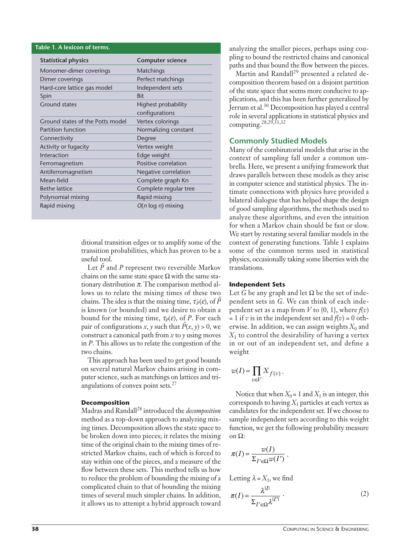| Table 1. A lexicon of terms.     |                         |
|----------------------------------|-------------------------|
| <b>Statistical physics</b>       | <b>Computer science</b> |
| Monomer-dimer coverings          | Matchings               |
| Dimer coverings                  | Perfect matchings       |
| Hard-core lattice gas model      | Independent sets        |
| Spin                             | <b>Bit</b>              |
| <b>Ground states</b>             | Highest probability     |
|                                  | configurations          |
| Ground states of the Potts model | Vertex colorings        |
| <b>Partition function</b>        | Normalizing constant    |
| Connectivity                     | Degree                  |
| Activity or fugacity             | Vertex weight           |
| Interaction                      | Edge weight             |
| Ferromagnetism                   | Positive correlation    |
| Antiferromagnetism               | Negative correlation    |
| Mean-field                       | Complete graph Kn       |
| <b>Bethe lattice</b>             | Complete regular tree   |
| Polynomial mixing                | Rapid mixing            |
| Rapid mixing                     | $O(n \log n)$ mixing    |

ditional transition edges or to amplify some of the transition probabilities, which has proven to be a useful tool.

Let *P* and *P* represent two reversible Markov chains on the same state space  $\Omega$  with the same stationary distribution  $\pi$ . The comparison method allows us to relate the mixing times of these two chains. The idea is that the mixing time,  $\tau_{\tilde{P}}(\varepsilon)$ , of  $\tilde{P}$ is known (or bounded) and we desire to obtain a bound for the mixing time,  $\tau_P(\varepsilon)$ , of P. For each pair of configurations *x*, *y* such that  $\tilde{P}(x, y) > 0$ , we construct a canonical path from *x* to *y* using moves in *P*. This allows us to relate the congestion of the two chains.

This approach has been used to get good bounds on several natural Markov chains arising in computer science, such as matchings on lattices and triangulations of convex point sets.<sup>27</sup>

## **Decomposition**

Madras and Randall<sup>28</sup> introduced the *decomposition* method as a top-down approach to analyzing mixing times. Decomposition allows the state space to be broken down into pieces; it relates the mixing time of the original chain to the mixing times of restricted Markov chains, each of which is forced to stay within one of the pieces, and a measure of the flow between these sets. This method tells us how to reduce the problem of bounding the mixing of a complicated chain to that of bounding the mixing times of several much simpler chains. In addition, it allows us to attempt a hybrid approach toward

analyzing the smaller pieces, perhaps using coupling to bound the restricted chains and canonical paths and thus bound the flow between the pieces.

Martin and Randall<sup>29</sup> presented a related decomposition theorem based on a disjoint partition of the state space that seems more conducive to applications, and this has been further generalized by Jerrum et al.30 Decomposition has played a central role in several applications in statistical physics and computing.28,29,31,32

# **Commonly Studied Models**

Many of the combinatorial models that arise in the context of sampling fall under a common umbrella. Here, we present a unifying framework that draws parallels between these models as they arise in computer science and statistical physics. The intimate connections with physics have provided a bilateral dialogue that has helped shape the design of good sampling algorithms, the methods used to analyze these algorithms, and even the intuition for when a Markov chain should be fast or slow. We start by restating several familiar models in the context of generating functions. Table 1 explains some of the common terms used in statistical physics, occasionally taking some liberties with the translations.

## **Independent Sets**

Let G be any graph and let  $\Omega$  be the set of independent sets in *G*. We can think of each independent set as a map from  $V$  to  $\{0, 1\}$ , where  $f(v)$  $= 1$  if *v* is in the independent set and  $f(v) = 0$  otherwise. In addition, we can assign weights  $X_0$  and  $X_1$  to control the desirability of having a vertex in or out of an independent set, and define a weight

$$
w(I) = \prod_{v \in V} X_{f(v)}.
$$

Notice that when  $X_0 = 1$  and  $X_1$  is an integer, this corresponds to having  $X_1$  particles at each vertex as candidates for the independent set. If we choose to sample independent sets according to this weight function, we get the following probability measure on  $\Omega$ :

$$
\pi(I) = \frac{w(I)}{\Sigma_{I' \in \Omega} w(I')}
$$

Letting 
$$
\lambda = X_1
$$
, we find  
\n
$$
\pi(I) = \frac{\lambda^{|I|}}{\Sigma_{I' \in \Omega} \lambda^{|I'|}}.
$$
\n(2)

.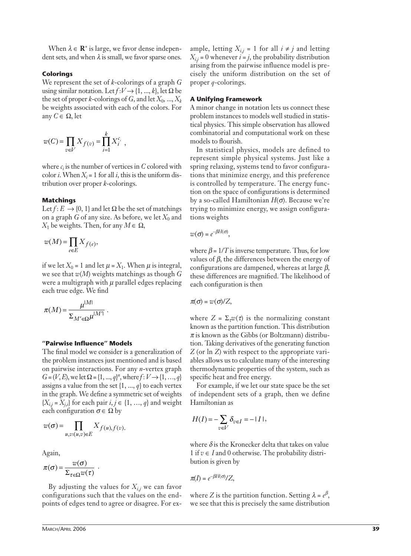When  $\lambda \in \mathbb{R}^+$  is large, we favor dense independent sets, and when  $\lambda$  is small, we favor sparse ones.

#### **Colorings**

We represent the set of *k*-colorings of a graph *G* using similar notation. Let  $f: V \rightarrow \{1, ..., k\}$ , let  $\Omega$  be the set of proper *k*-colorings of *G*, and let  $X_0$ , ...,  $X_k$ be weights associated with each of the colors. For any  $C \in \Omega$ , let

$$
w(C) = \prod_{v \in V} X_{f(v)} = \prod_{i=1}^{k} X_i^{c_i},
$$

where  $c_i$  is the number of vertices in  $C$  colored with color *i*. When  $X_i = 1$  for all *i*, this is the uniform distribution over proper *k*-colorings.

#### **Matchings**

Let  $f: E \to \{0, 1\}$  and let  $\Omega$  be the set of matchings on a graph *G* of any size. As before, we let  $X_0$  and  $X_1$  be weights. Then, for any  $M \in \Omega$ ,

$$
w(M) = \prod_{e \in E} X_{f(e)},
$$

if we let  $X_0 = 1$  and let  $\mu = X_1$ . When  $\mu$  is integral, we see that *w*(*M*) weights matchings as though *G* were a multigraph with  $\mu$  parallel edges replacing each true edge. We find

$$
\pi(M) = \frac{\mu^{|M|}}{\Sigma_{M' \in \Omega} \mu^{|M'|}}.
$$

## **"Pairwise Influence" Models**

The final model we consider is a generalization of the problem instances just mentioned and is based on pairwise interactions. For any *n*-vertex graph  $G = (V, E)$ , we let  $\Omega = \{1, ..., q\}^n$ , where  $f: V \to \{1, ..., q\}$ assigns a value from the set {1, ..., *q*} to each vertex in the graph. We define a symmetric set of weights  ${X_{i,j} = X_{j,i}}$  for each pair  $i, j \in \{1, ..., q\}$  and weight each configuration  $\sigma \in \Omega$  by

$$
w(\sigma) = \prod_{u,v:(u,v)\in E} X_{f(u),f(v)}.
$$

Again,

$$
\pi(\sigma) = \frac{w(\sigma)}{\Sigma_{\tau \in \Omega} w(\tau)}.
$$

By adjusting the values for  $X_{i,j}$  we can favor configurations such that the values on the endpoints of edges tend to agree or disagree. For ex-

ample, letting  $X_{i,j} = 1$  for all  $i \neq j$  and letting  $X_{i,j} = 0$  whenever  $i = j$ , the probability distribution arising from the pairwise influence model is precisely the uniform distribution on the set of proper *q*-colorings.

#### **A Unifying Framework**

A minor change in notation lets us connect these problem instances to models well studied in statistical physics. This simple observation has allowed combinatorial and computational work on these models to flourish.

In statistical physics, models are defined to represent simple physical systems. Just like a spring relaxing, systems tend to favor configurations that minimize energy, and this preference is controlled by temperature. The energy function on the space of configurations is determined by a so-called Hamiltonian  $H(\sigma)$ . Because we're trying to minimize energy, we assign configurations weights

$$
w(\sigma) = e^{-\beta H(\sigma)},
$$

where  $\beta = 1/T$  is inverse temperature. Thus, for low values of  $\beta$ , the differences between the energy of configurations are dampened, whereas at large  $\beta$ , these differences are magnified. The likelihood of each configuration is then

$$
\pi(\sigma) = w(\sigma)/Z,
$$

where  $Z = \sum_{\tau} w(\tau)$  is the normalizing constant known as the partition function. This distribution  $\pi$  is known as the Gibbs (or Boltzmann) distribution. Taking derivatives of the generating function *Z* (or ln *Z*) with respect to the appropriate variables allows us to calculate many of the interesting thermodynamic properties of the system, such as specific heat and free energy.

For example, if we let our state space be the set of independent sets of a graph, then we define Hamiltonian as

$$
H(I) = -\sum_{v \in V} \delta_{v \in I} = -|I|,
$$

where  $\delta$  is the Kronecker delta that takes on value 1 if  $v \in I$  and 0 otherwise. The probability distribution is given by

$$
\pi(I) = e^{-\beta H(\sigma)}/Z,
$$

where *Z* is the partition function. Setting  $\lambda = e^{\beta}$ , we see that this is precisely the same distribution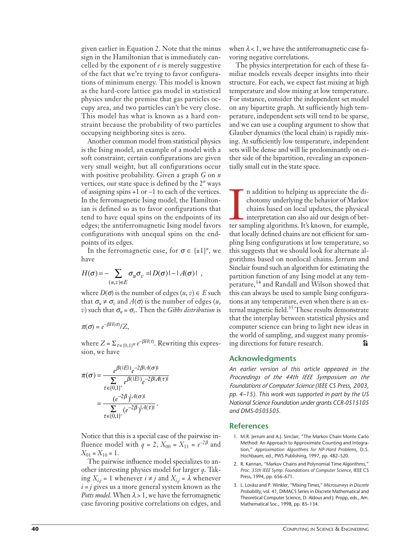given earlier in Equation 2. Note that the minus sign in the Hamiltonian that is immediately cancelled by the exponent of *e* is merely suggestive of the fact that we're trying to favor configurations of minimum energy. This model is known as the hard-core lattice gas model in statistical physics under the premise that gas particles occupy area, and two particles can't be very close. This model has what is known as a hard constraint because the probability of two particles occupying neighboring sites is zero.

Another common model from statistical physics is the Ising model, an example of a model with a soft constraint; certain configurations are given very small weight, but all configurations occur with positive probability. Given a graph *G* on *n* vertices, our state space is defined by the 2*<sup>n</sup>* ways of assigning spins +1 or –1 to each of the vertices. In the ferromagnetic Ising model, the Hamiltonian is defined so as to favor configurations that tend to have equal spins on the endpoints of its edges; the antiferromagnetic Ising model favors configurations with unequal spins on the endpoints of its edges.

In the ferromagnetic case, for  $\sigma \in \{\pm 1\}^n$ , we have

$$
H(\sigma) = -\sum_{(u,v)\in E} \sigma_u \sigma_v = D(\sigma) - A(\sigma) \quad ,
$$

where  $D(\sigma)$  is the number of edges  $(u, v) \in E$  such that  $\sigma_u \neq \sigma_v$  and  $A(\sigma)$  is the number of edges (*u*, *v*) such that  $\sigma_u = \sigma_v$ . Then the *Gibbs distribution* is

$$
\pi(\sigma) = e^{-\beta H(\sigma)}/Z,
$$

where  $Z = \sum_{\tau \in \{0,1\}^n} e^{-\beta H(\tau)}$ . Rewriting this expression, we have

$$
\pi(\sigma) = \frac{e^{\beta(|E|)}e^{-2\beta|A(\sigma)|}}{\sum_{\tau \in \{0,1\}^n} e^{\beta(|E|)}e^{-2\beta|A(\tau)|}}
$$

$$
= \frac{(e^{-2\beta})^{|A(\sigma)|}}{\sum_{\tau \in \{0,1\}^n} (e^{-2\beta})^{|A(\tau)|}}.
$$

Notice that this is a special case of the pairwise influence model with  $q = 2$ ,  $X_{00} = X_{11} = e^{-2\beta}$  and  $X_{01} = X_{10} = 1$ .

The pairwise influence model specializes to another interesting physics model for larger *q*. Taking  $X_{i,j} = 1$  whenever  $i \neq j$  and  $X_{i,j} = \lambda$  whenever  $i = j$  gives us a more general system known as the *Potts model*. When  $\lambda > 1$ , we have the ferromagnetic case favoring positive correlations on edges, and

when  $\lambda$  < 1, we have the antiferromagnetic case favoring negative correlations.

The physics interpretation for each of these familiar models reveals deeper insights into their structure. For each, we expect fast mixing at high temperature and slow mixing at low temperature. For instance, consider the independent set model on any bipartite graph. At sufficiently high temperature, independent sets will tend to be sparse, and we can use a coupling argument to show that Glauber dynamics (the local chain) is rapidly mixing. At sufficiently low temperature, independent sets will be dense and will lie predominantly on either side of the bipartition, revealing an exponentially small cut in the state space.

n addition to helping us appreciate the dichotomy underlying the behavior of Markov chains based on local updates, the physical interpretation can also aid our design of better sampling algorithms. It's known, for example, n addition to helping us appreciate the dichotomy underlying the behavior of Markov chains based on local updates, the physical interpretation can also aid our design of betthat locally defined chains are not efficient for sampling Ising configurations at low temperature, so this suggests that we should look for alternate algorithms based on nonlocal chains. Jerrum and Sinclair found such an algorithm for estimating the partition function of any Ising model at any temperature,<sup>34</sup> and Randall and Wilson showed that this can always be used to sample Ising configurations at any temperature, even when there is an external magnetic field.<sup>35</sup> These results demonstrate that the interplay between statistical physics and computer science can bring to light new ideas in the world of sampling, and suggest many promising directions for future research. SE.

# **Acknowledgments**

*An earlier version of this article appeared in the Proceedings of the 44th IEEE Symposium on the Foundations of Computer Science (IEEE CS Press, 2003, pp. 4–15). This work was supported in part by the US National Science Foundation under grants CCR-0515105 and DMS-0505505.*

## **References**

- 1. M.R. Jerrum and A.J. Sinclair, "The Markov Chain Monte Carlo Method: An Approach to Approximate Counting and Integration," *Approximation Algorithms for NP-Hard Problems*, D.S. Hochbaum, ed., PWS Publishing, 1997, pp. 482–520.
- 2. R. Kannan, "Markov Chains and Polynomial Time Algorithms," *Proc. 35th IEEE Symp. Foundations of Computer Science*, IEEE CS Press, 1994, pp. 656–671.
- 3. L. Lovász and P. Winkler, "Mixing Times," *Microsurveys in Discrete Probability*, vol. 41, DIMACS Series in Discrete Mathematical and Theoretical Computer Science, D. Aldous and J. Propp, eds., Am. Mathematical Soc., 1998, pp. 85–134.